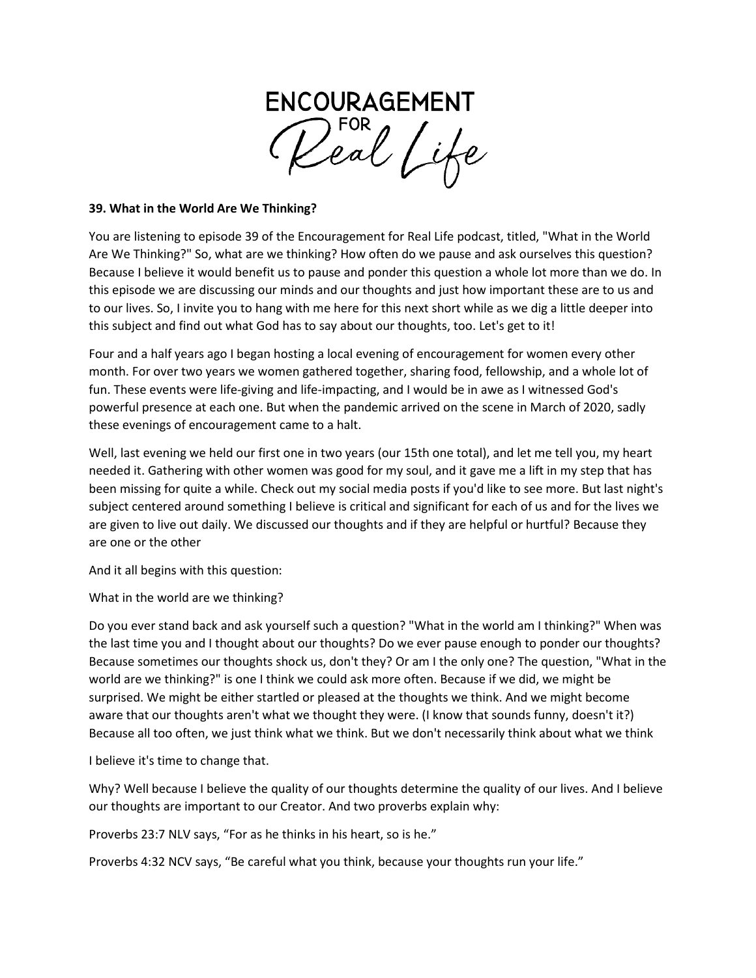

## **39. What in the World Are We Thinking?**

You are listening to episode 39 of the Encouragement for Real Life podcast, titled, "What in the World Are We Thinking?" So, what are we thinking? How often do we pause and ask ourselves this question? Because I believe it would benefit us to pause and ponder this question a whole lot more than we do. In this episode we are discussing our minds and our thoughts and just how important these are to us and to our lives. So, I invite you to hang with me here for this next short while as we dig a little deeper into this subject and find out what God has to say about our thoughts, too. Let's get to it!

Four and a half years ago I began hosting a local evening of encouragement for women every other month. For over two years we women gathered together, sharing food, fellowship, and a whole lot of fun. These events were life-giving and life-impacting, and I would be in awe as I witnessed God's powerful presence at each one. But when the pandemic arrived on the scene in March of 2020, sadly these evenings of encouragement came to a halt.

Well, last evening we held our first one in two years (our 15th one total), and let me tell you, my heart needed it. Gathering with other women was good for my soul, and it gave me a lift in my step that has been missing for quite a while. Check out my social media posts if you'd like to see more. But last night's subject centered around something I believe is critical and significant for each of us and for the lives we are given to live out daily. We discussed our thoughts and if they are helpful or hurtful? Because they are one or the other

And it all begins with this question:

What in the world are we thinking?

Do you ever stand back and ask yourself such a question? "What in the world am I thinking?" When was the last time you and I thought about our thoughts? Do we ever pause enough to ponder our thoughts? Because sometimes our thoughts shock us, don't they? Or am I the only one? The question, "What in the world are we thinking?" is one I think we could ask more often. Because if we did, we might be surprised. We might be either startled or pleased at the thoughts we think. And we might become aware that our thoughts aren't what we thought they were. (I know that sounds funny, doesn't it?) Because all too often, we just think what we think. But we don't necessarily think about what we think

I believe it's time to change that.

Why? Well because I believe the quality of our thoughts determine the quality of our lives. And I believe our thoughts are important to our Creator. And two proverbs explain why:

Proverbs 23:7 NLV says, "For as he thinks in his heart, so is he."

Proverbs 4:32 NCV says, "Be careful what you think, because your thoughts run your life."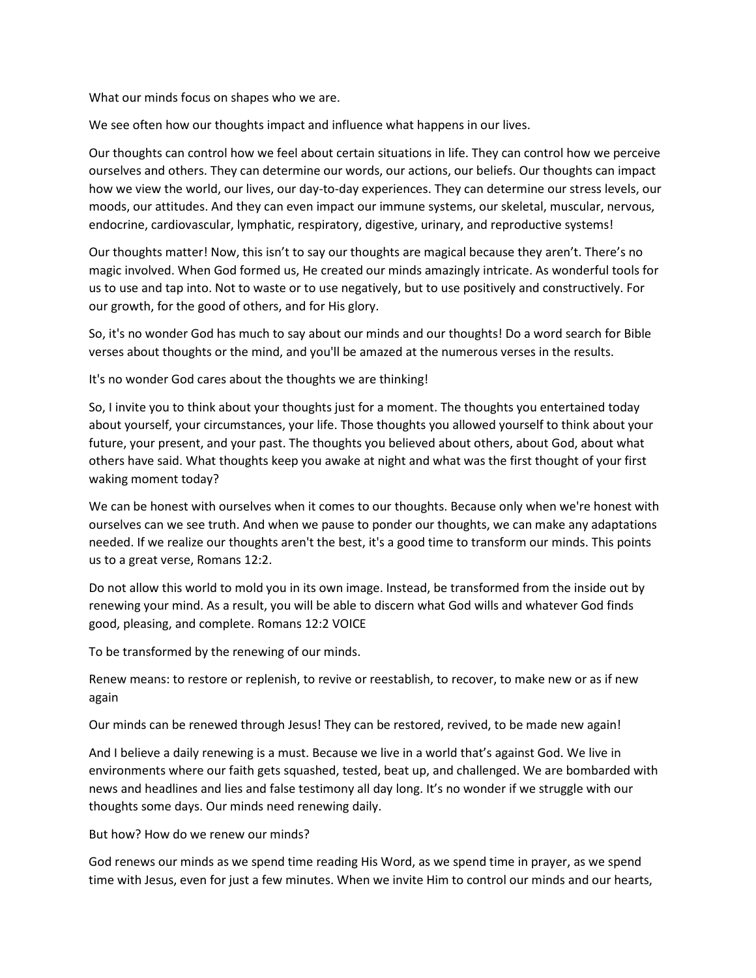What our minds focus on shapes who we are.

We see often how our thoughts impact and influence what happens in our lives.

Our thoughts can control how we feel about certain situations in life. They can control how we perceive ourselves and others. They can determine our words, our actions, our beliefs. Our thoughts can impact how we view the world, our lives, our day-to-day experiences. They can determine our stress levels, our moods, our attitudes. And they can even impact our immune systems, our skeletal, muscular, nervous, endocrine, cardiovascular, lymphatic, respiratory, digestive, urinary, and reproductive systems!

Our thoughts matter! Now, this isn't to say our thoughts are magical because they aren't. There's no magic involved. When God formed us, He created our minds amazingly intricate. As wonderful tools for us to use and tap into. Not to waste or to use negatively, but to use positively and constructively. For our growth, for the good of others, and for His glory.

So, it's no wonder God has much to say about our minds and our thoughts! Do a word search for Bible verses about thoughts or the mind, and you'll be amazed at the numerous verses in the results.

It's no wonder God cares about the thoughts we are thinking!

So, I invite you to think about your thoughts just for a moment. The thoughts you entertained today about yourself, your circumstances, your life. Those thoughts you allowed yourself to think about your future, your present, and your past. The thoughts you believed about others, about God, about what others have said. What thoughts keep you awake at night and what was the first thought of your first waking moment today?

We can be honest with ourselves when it comes to our thoughts. Because only when we're honest with ourselves can we see truth. And when we pause to ponder our thoughts, we can make any adaptations needed. If we realize our thoughts aren't the best, it's a good time to transform our minds. This points us to a great verse, Romans 12:2.

Do not allow this world to mold you in its own image. Instead, be transformed from the inside out by renewing your mind. As a result, you will be able to discern what God wills and whatever God finds good, pleasing, and complete. Romans 12:2 VOICE

To be transformed by the renewing of our minds.

Renew means: to restore or replenish, to revive or reestablish, to recover, to make new or as if new again

Our minds can be renewed through Jesus! They can be restored, revived, to be made new again!

And I believe a daily renewing is a must. Because we live in a world that's against God. We live in environments where our faith gets squashed, tested, beat up, and challenged. We are bombarded with news and headlines and lies and false testimony all day long. It's no wonder if we struggle with our thoughts some days. Our minds need renewing daily.

But how? How do we renew our minds?

God renews our minds as we spend time reading His Word, as we spend time in prayer, as we spend time with Jesus, even for just a few minutes. When we invite Him to control our minds and our hearts,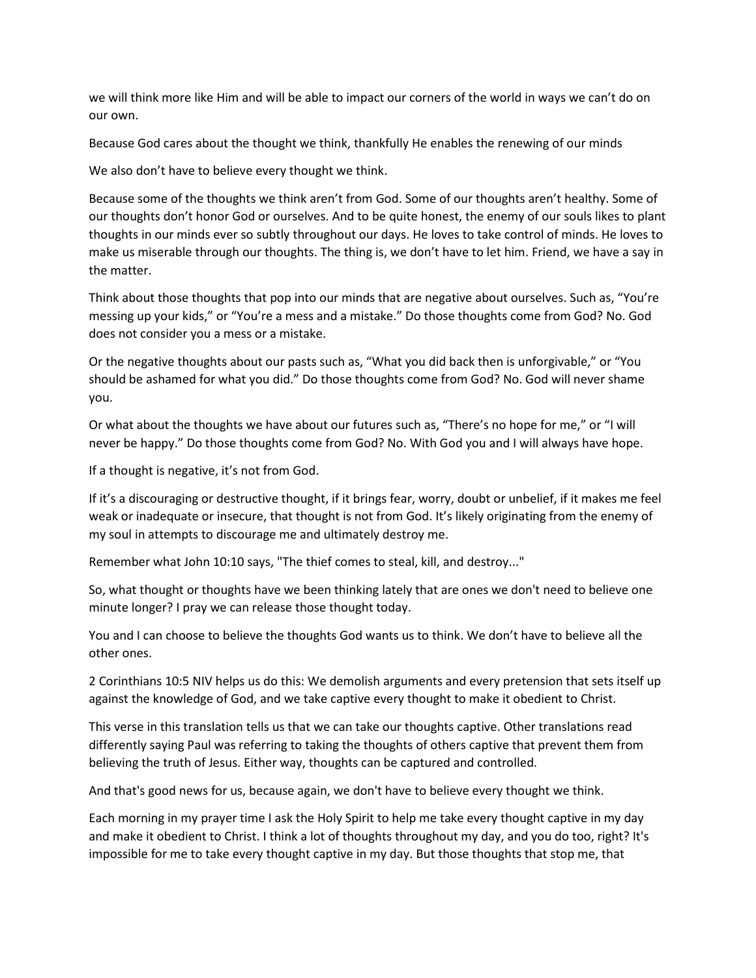we will think more like Him and will be able to impact our corners of the world in ways we can't do on our own.

Because God cares about the thought we think, thankfully He enables the renewing of our minds

We also don't have to believe every thought we think.

Because some of the thoughts we think aren't from God. Some of our thoughts aren't healthy. Some of our thoughts don't honor God or ourselves. And to be quite honest, the enemy of our souls likes to plant thoughts in our minds ever so subtly throughout our days. He loves to take control of minds. He loves to make us miserable through our thoughts. The thing is, we don't have to let him. Friend, we have a say in the matter.

Think about those thoughts that pop into our minds that are negative about ourselves. Such as, "You're messing up your kids," or "You're a mess and a mistake." Do those thoughts come from God? No. God does not consider you a mess or a mistake.

Or the negative thoughts about our pasts such as, "What you did back then is unforgivable," or "You should be ashamed for what you did." Do those thoughts come from God? No. God will never shame you.

Or what about the thoughts we have about our futures such as, "There's no hope for me," or "I will never be happy." Do those thoughts come from God? No. With God you and I will always have hope.

If a thought is negative, it's not from God.

If it's a discouraging or destructive thought, if it brings fear, worry, doubt or unbelief, if it makes me feel weak or inadequate or insecure, that thought is not from God. It's likely originating from the enemy of my soul in attempts to discourage me and ultimately destroy me.

Remember what John 10:10 says, "The thief comes to steal, kill, and destroy..."

So, what thought or thoughts have we been thinking lately that are ones we don't need to believe one minute longer? I pray we can release those thought today.

You and I can choose to believe the thoughts God wants us to think. We don't have to believe all the other ones.

2 Corinthians 10:5 NIV helps us do this: We demolish arguments and every pretension that sets itself up against the knowledge of God, and we take captive every thought to make it obedient to Christ.

This verse in this translation tells us that we can take our thoughts captive. Other translations read differently saying Paul was referring to taking the thoughts of others captive that prevent them from believing the truth of Jesus. Either way, thoughts can be captured and controlled.

And that's good news for us, because again, we don't have to believe every thought we think.

Each morning in my prayer time I ask the Holy Spirit to help me take every thought captive in my day and make it obedient to Christ. I think a lot of thoughts throughout my day, and you do too, right? It's impossible for me to take every thought captive in my day. But those thoughts that stop me, that